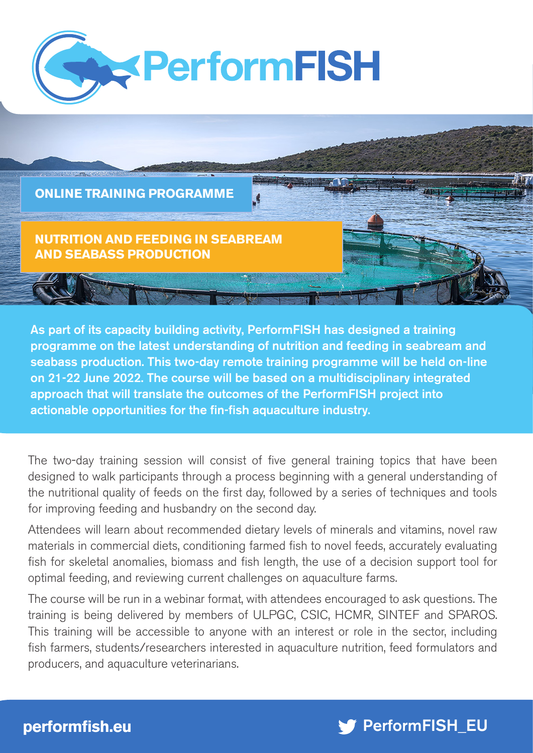



As part of its capacity building activity, PerformFISH has designed a training programme on the latest understanding of nutrition and feeding in seabream and seabass production. This two-day remote training programme will be held on-line on 21-22 June 2022. The course will be based on a multidisciplinary integrated approach that will translate the outcomes of the PerformFISH project into actionable opportunities for the fin-fish aquaculture industry.

The two-day training session will consist of five general training topics that have been designed to walk participants through a process beginning with a general understanding of the nutritional quality of feeds on the first day, followed by a series of techniques and tools for improving feeding and husbandry on the second day.

Attendees will learn about recommended dietary levels of minerals and vitamins, novel raw materials in commercial diets, conditioning farmed fish to novel feeds, accurately evaluating fish for skeletal anomalies, biomass and fish length, the use of a decision support tool for optimal feeding, and reviewing current challenges on aquaculture farms.

The course will be run in a webinar format, with attendees encouraged to ask questions. The training is being delivered by members of ULPGC, CSIC, HCMR, SINTEF and SPAROS. This training will be accessible to anyone with an interest or role in the sector, including fish farmers, students/researchers interested in aquaculture nutrition, feed formulators and producers, and aquaculture veterinarians.

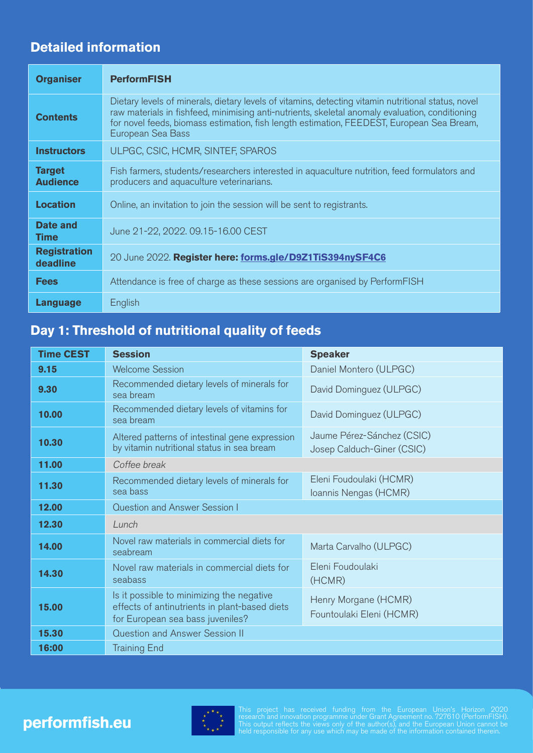## **Detailed information**

| <b>Organiser</b>                 | <b>PerformFISH</b>                                                                                                                                                                                                                                                                                                       |  |
|----------------------------------|--------------------------------------------------------------------------------------------------------------------------------------------------------------------------------------------------------------------------------------------------------------------------------------------------------------------------|--|
| <b>Contents</b>                  | Dietary levels of minerals, dietary levels of vitamins, detecting vitamin nutritional status, novel<br>raw materials in fishfeed, minimising anti-nutrients, skeletal anomaly evaluation, conditioning<br>for novel feeds, biomass estimation, fish length estimation, FEEDEST, European Sea Bream,<br>European Sea Bass |  |
| <b>Instructors</b>               | ULPGC, CSIC, HCMR, SINTEF, SPAROS                                                                                                                                                                                                                                                                                        |  |
| <b>Target</b><br><b>Audience</b> | Fish farmers, students/researchers interested in aquaculture nutrition, feed formulators and<br>producers and aquaculture veterinarians.                                                                                                                                                                                 |  |
| <b>Location</b>                  | Online, an invitation to join the session will be sent to registrants.                                                                                                                                                                                                                                                   |  |
| Date and<br><b>Time</b>          | June 21-22, 2022. 09.15-16.00 CEST                                                                                                                                                                                                                                                                                       |  |
| <b>Registration</b><br>deadline  | 20 June 2022. Register here: forms.gle/D9Z1TiS394nySF4C6                                                                                                                                                                                                                                                                 |  |
| <b>Fees</b>                      | Attendance is free of charge as these sessions are organised by PerformFISH                                                                                                                                                                                                                                              |  |
| <b>Language</b>                  | English                                                                                                                                                                                                                                                                                                                  |  |

## **Day 1: Threshold of nutritional quality of feeds**

| <b>Time CEST</b> | <b>Session</b>                                                                                                                 | <b>Speaker</b>                                           |  |
|------------------|--------------------------------------------------------------------------------------------------------------------------------|----------------------------------------------------------|--|
| 9.15             | <b>Welcome Session</b>                                                                                                         | Daniel Montero (ULPGC)                                   |  |
| 9.30             | Recommended dietary levels of minerals for<br>sea bream                                                                        | David Dominguez (ULPGC)                                  |  |
| 10.00            | Recommended dietary levels of vitamins for<br>sea bream                                                                        | David Dominguez (ULPGC)                                  |  |
| 10.30            | Altered patterns of intestinal gene expression<br>by vitamin nutritional status in sea bream                                   | Jaume Pérez-Sánchez (CSIC)<br>Josep Calduch-Giner (CSIC) |  |
| 11.00            | Coffee break                                                                                                                   |                                                          |  |
| 11.30            | Recommended dietary levels of minerals for<br>sea bass                                                                         | Eleni Foudoulaki (HCMR)<br>Ioannis Nengas (HCMR)         |  |
| 12.00            | <b>Question and Answer Session I</b>                                                                                           |                                                          |  |
| 12.30            | Lunch                                                                                                                          |                                                          |  |
| 14.00            | Novel raw materials in commercial diets for<br>seabream                                                                        | Marta Carvalho (ULPGC)                                   |  |
| 14.30            | Novel raw materials in commercial diets for<br>seabass                                                                         | Eleni Foudoulaki<br>(HCMR)                               |  |
| 15.00            | Is it possible to minimizing the negative<br>effects of antinutrients in plant-based diets<br>for European sea bass juveniles? | Henry Morgane (HCMR)<br>Fountoulaki Eleni (HCMR)         |  |
| 15.30            | Question and Answer Session II                                                                                                 |                                                          |  |
| 16:00            | <b>Training End</b>                                                                                                            |                                                          |  |



This project has received funding from the European Union's Horizon 2020 research and innovation programme under Grant Agreement no. 727610 (PerformFISH). This output reflects the views only of the author(s), and the European Union cannot be